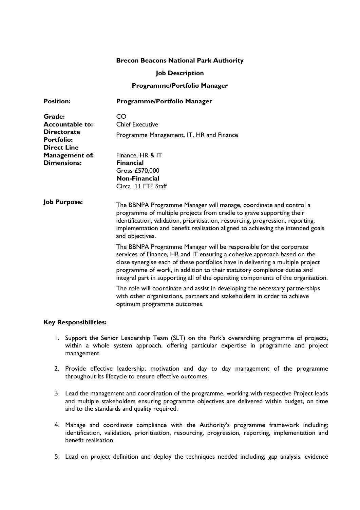# **Brecon Beacons National Park Authority**

#### **Job Description**

### **Programme/Portfolio Manager**

| <b>Position:</b>                                                                                  | Programme/Portfolio Manager                                                                                                                                                                                                                                                                                                                                                                    |
|---------------------------------------------------------------------------------------------------|------------------------------------------------------------------------------------------------------------------------------------------------------------------------------------------------------------------------------------------------------------------------------------------------------------------------------------------------------------------------------------------------|
| Grade:<br><b>Accountable to:</b><br><b>Directorate</b><br><b>Portfolio:</b><br><b>Direct Line</b> | CO<br><b>Chief Executive</b>                                                                                                                                                                                                                                                                                                                                                                   |
|                                                                                                   | Programme Management, IT, HR and Finance                                                                                                                                                                                                                                                                                                                                                       |
| Management of:<br><b>Dimensions:</b>                                                              | Finance, HR & IT<br><b>Financial</b><br>Gross £570,000<br><b>Non-Financial</b><br>Circa 11 FTE Staff                                                                                                                                                                                                                                                                                           |
| <b>Job Purpose:</b>                                                                               | The BBNPA Programme Manager will manage, coordinate and control a<br>programme of multiple projects from cradle to grave supporting their<br>identification, validation, prioritisation, resourcing, progression, reporting,<br>implementation and benefit realisation aligned to achieving the intended goals<br>and objectives.                                                              |
|                                                                                                   | The BBNPA Programme Manager will be responsible for the corporate<br>services of Finance, HR and IT ensuring a cohesive approach based on the<br>close synergise each of these portfolios have in delivering a multiple project<br>programme of work, in addition to their statutory compliance duties and<br>integral part in supporting all of the operating components of the organisation. |
|                                                                                                   | The role will coordinate and assist in developing the necessary partnerships<br>with other organisations, partners and stakeholders in order to achieve<br>optimum programme outcomes.                                                                                                                                                                                                         |

# **Key Responsibilities:**

- 1. Support the Senior Leadership Team (SLT) on the Park's overarching programme of projects, within a whole system approach, offering particular expertise in programme and project management.
- 2. Provide effective leadership, motivation and day to day management of the programme throughout its lifecycle to ensure effective outcomes.
- 3. Lead the management and coordination of the programme, working with respective Project leads and multiple stakeholders ensuring programme objectives are delivered within budget, on time and to the standards and quality required.
- 4. Manage and coordinate compliance with the Authority's programme framework including; identification, validation, prioritisation, resourcing, progression, reporting, implementation and benefit realisation.
- 5. Lead on project definition and deploy the techniques needed including; gap analysis, evidence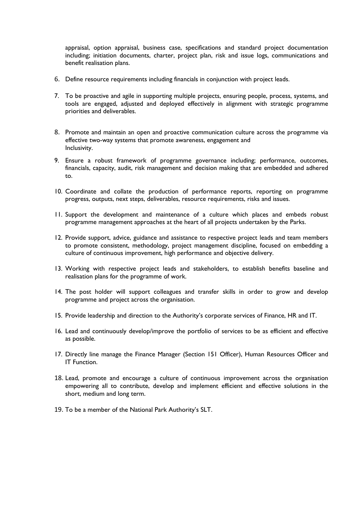appraisal, option appraisal, business case, specifications and standard project documentation including; initiation documents, charter, project plan, risk and issue logs, communications and benefit realisation plans.

- 6. Define resource requirements including financials in conjunction with project leads.
- 7. To be proactive and agile in supporting multiple projects, ensuring people, process, systems, and tools are engaged, adjusted and deployed effectively in alignment with strategic programme priorities and deliverables.
- 8. Promote and maintain an open and proactive communication culture across the programme via effective two-way systems that promote awareness, engagement and Inclusivity.
- 9. Ensure a robust framework of programme governance including; performance, outcomes, financials, capacity, audit, risk management and decision making that are embedded and adhered to.
- 10. Coordinate and collate the production of performance reports, reporting on programme progress, outputs, next steps, deliverables, resource requirements, risks and issues.
- 11. Support the development and maintenance of a culture which places and embeds robust programme management approaches at the heart of all projects undertaken by the Parks.
- 12. Provide support, advice, guidance and assistance to respective project leads and team members to promote consistent, methodology, project management discipline, focused on embedding a culture of continuous improvement, high performance and objective delivery.
- 13. Working with respective project leads and stakeholders, to establish benefits baseline and realisation plans for the programme of work.
- 14. The post holder will support colleagues and transfer skills in order to grow and develop programme and project across the organisation.
- 15. Provide leadership and direction to the Authority's corporate services of Finance, HR and IT.
- 16. Lead and continuously develop/improve the portfolio of services to be as efficient and effective as possible.
- 17. Directly line manage the Finance Manager (Section 151 Officer), Human Resources Officer and IT Function.
- 18. Lead, promote and encourage a culture of continuous improvement across the organisation empowering all to contribute, develop and implement efficient and effective solutions in the short, medium and long term.
- 19. To be a member of the National Park Authority's SLT.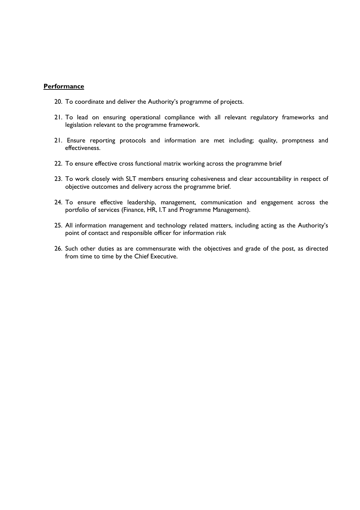#### **Performance**

- 20. To coordinate and deliver the Authority's programme of projects.
- 21. To lead on ensuring operational compliance with all relevant regulatory frameworks and legislation relevant to the programme framework.
- 21. Ensure reporting protocols and information are met including; quality, promptness and effectiveness.
- 22. To ensure effective cross functional matrix working across the programme brief
- 23. To work closely with SLT members ensuring cohesiveness and clear accountability in respect of objective outcomes and delivery across the programme brief.
- 24. To ensure effective leadership, management, communication and engagement across the portfolio of services (Finance, HR, I.T and Programme Management).
- 25. All information management and technology related matters, including acting as the Authority's point of contact and responsible officer for information risk
- 26. Such other duties as are commensurate with the objectives and grade of the post, as directed from time to time by the Chief Executive.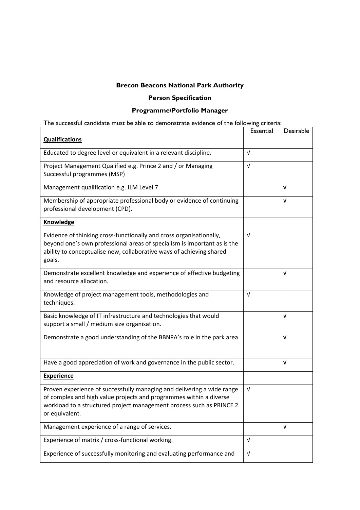# **Brecon Beacons National Park Authority**

# **Person Specification**

# **Programme/Portfolio Manager**

| The successful candidate must be able to demonstrate evidence of the following criteria:                                                                                                                                               |            |            |  |  |  |
|----------------------------------------------------------------------------------------------------------------------------------------------------------------------------------------------------------------------------------------|------------|------------|--|--|--|
|                                                                                                                                                                                                                                        | Essential  | Desirable  |  |  |  |
| <b>Qualifications</b>                                                                                                                                                                                                                  |            |            |  |  |  |
| Educated to degree level or equivalent in a relevant discipline.                                                                                                                                                                       |            |            |  |  |  |
| Project Management Qualified e.g. Prince 2 and / or Managing<br>Successful programmes (MSP)                                                                                                                                            |            |            |  |  |  |
| Management qualification e.g. ILM Level 7                                                                                                                                                                                              |            | V          |  |  |  |
| Membership of appropriate professional body or evidence of continuing<br>professional development (CPD).                                                                                                                               |            | V          |  |  |  |
| <b>Knowledge</b>                                                                                                                                                                                                                       |            |            |  |  |  |
| Evidence of thinking cross-functionally and cross organisationally,<br>beyond one's own professional areas of specialism is important as is the<br>ability to conceptualise new, collaborative ways of achieving shared<br>goals.      | $\sqrt{ }$ |            |  |  |  |
| Demonstrate excellent knowledge and experience of effective budgeting<br>and resource allocation.                                                                                                                                      |            | $\sqrt{ }$ |  |  |  |
| Knowledge of project management tools, methodologies and<br>techniques.                                                                                                                                                                | $\sqrt{ }$ |            |  |  |  |
| Basic knowledge of IT infrastructure and technologies that would<br>support a small / medium size organisation.                                                                                                                        |            | $\sqrt{ }$ |  |  |  |
| Demonstrate a good understanding of the BBNPA's role in the park area                                                                                                                                                                  |            | $\sqrt{ }$ |  |  |  |
| Have a good appreciation of work and governance in the public sector.                                                                                                                                                                  |            | $\sqrt{ }$ |  |  |  |
| <b>Experience</b>                                                                                                                                                                                                                      |            |            |  |  |  |
| Proven experience of successfully managing and delivering a wide range<br>of complex and high value projects and programmes within a diverse<br>workload to a structured project management process such as PRINCE 2<br>or equivalent. | V          |            |  |  |  |
| Management experience of a range of services.                                                                                                                                                                                          |            | $\sqrt{ }$ |  |  |  |
| Experience of matrix / cross-functional working.                                                                                                                                                                                       |            |            |  |  |  |
| Experience of successfully monitoring and evaluating performance and                                                                                                                                                                   | V          |            |  |  |  |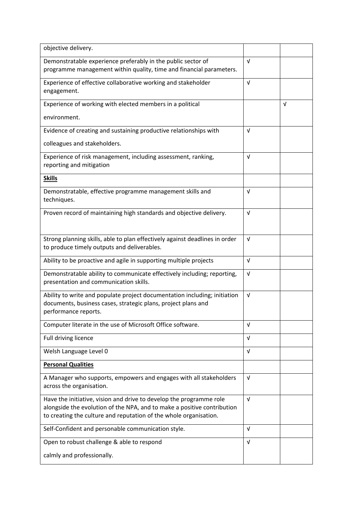| objective delivery.                                                                                                                                                                                                 |            |            |
|---------------------------------------------------------------------------------------------------------------------------------------------------------------------------------------------------------------------|------------|------------|
| Demonstratable experience preferably in the public sector of                                                                                                                                                        |            |            |
| programme management within quality, time and financial parameters.                                                                                                                                                 |            |            |
| Experience of effective collaborative working and stakeholder<br>engagement.                                                                                                                                        |            |            |
| Experience of working with elected members in a political                                                                                                                                                           |            | $\sqrt{ }$ |
| environment.                                                                                                                                                                                                        |            |            |
| Evidence of creating and sustaining productive relationships with                                                                                                                                                   |            |            |
| colleagues and stakeholders.                                                                                                                                                                                        |            |            |
| Experience of risk management, including assessment, ranking,<br>reporting and mitigation                                                                                                                           |            |            |
| <b>Skills</b>                                                                                                                                                                                                       |            |            |
| Demonstratable, effective programme management skills and<br>techniques.                                                                                                                                            | $\sqrt{ }$ |            |
| Proven record of maintaining high standards and objective delivery.                                                                                                                                                 | $\sqrt{ }$ |            |
| Strong planning skills, able to plan effectively against deadlines in order<br>to produce timely outputs and deliverables.                                                                                          | $\sqrt{ }$ |            |
| Ability to be proactive and agile in supporting multiple projects                                                                                                                                                   | $\sqrt{ }$ |            |
| Demonstratable ability to communicate effectively including; reporting,<br>presentation and communication skills.                                                                                                   |            |            |
| Ability to write and populate project documentation including; initiation<br>documents, business cases, strategic plans, project plans and<br>performance reports.                                                  |            |            |
| Computer literate in the use of Microsoft Office software.                                                                                                                                                          | v          |            |
| Full driving licence                                                                                                                                                                                                | $\sqrt{ }$ |            |
| Welsh Language Level 0                                                                                                                                                                                              | $\sqrt{ }$ |            |
| <b>Personal Qualities</b>                                                                                                                                                                                           |            |            |
| A Manager who supports, empowers and engages with all stakeholders<br>across the organisation.                                                                                                                      |            |            |
| Have the initiative, vision and drive to develop the programme role<br>alongside the evolution of the NPA, and to make a positive contribution<br>to creating the culture and reputation of the whole organisation. |            |            |
| Self-Confident and personable communication style.                                                                                                                                                                  | $\sqrt{ }$ |            |
| Open to robust challenge & able to respond                                                                                                                                                                          |            |            |
| calmly and professionally.                                                                                                                                                                                          |            |            |